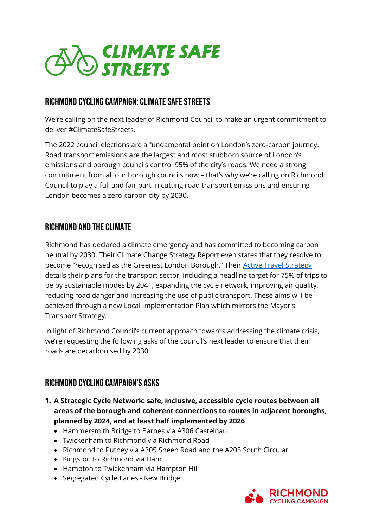

## Richmond CYCLING CAMPAIGN: Climate Safe Streets

We're calling on the next leader of Richmond Council to make an urgent commitment to deliver #ClimateSafeStreets.

The 2022 council elections are a fundamental point on London's zero-carbon journey. Road transport emissions are the largest and most stubborn source of London's emissions and borough councils control 95% of the city's roads. We need a strong commitment from all our borough councils now – that's why we're calling on Richmond Council to play a full and fair part in cutting road transport emissions and ensuring London becomes a zero-carbon city by 2030.

## Richmond and the Climate

Richmond has declared a climate emergency and has committed to becoming carbon neutral by 2030. Their Climate Change Strategy Report even states that they resolve to become "recognised as the Greenest London Borough." Their [Active Travel Strategy](https://www.richmond.gov.uk/media/20150/richmond-active-travel-strategy.pdf) details their plans for the transport sector, including a headline target for 75% of trips to be by sustainable modes by 2041, expanding the cycle network, improving air quality, reducing road danger and increasing the use of public transport. These aims will be achieved through a new Local Implementation Plan which mirrors the Mayor's Transport Strategy.

In light of Richmond Council's current approach towards addressing the climate crisis, we're requesting the following asks of the council's next leader to ensure that their roads are decarbonised by 2030.

## Richmond Cycling Campaign's Asks

- **1. A Strategic Cycle Network: safe, inclusive, accessible cycle routes between all areas of the borough and coherent connections to routes in adjacent boroughs, planned by 2024, and at least half implemented by 2026**
	- Hammersmith Bridge to Barnes via A306 Castelnau
	- Twickenham to Richmond via Richmond Road
	- Richmond to Putney via A305 Sheen Road and the A205 South Circular
	- Kingston to Richmond via Ham
	- Hampton to Twickenham via Hampton Hill
	- Segregated Cycle Lanes Kew Bridge

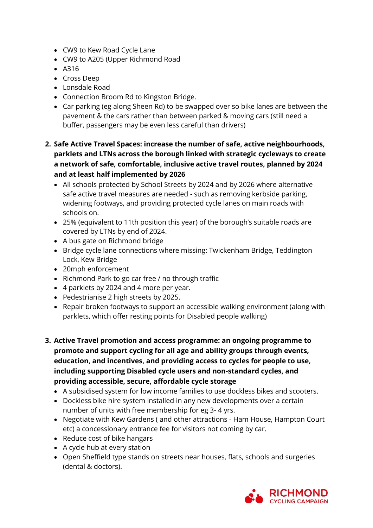- CW9 to Kew Road Cycle Lane
- CW9 to A205 (Upper Richmond Road
- A316
- Cross Deep
- Lonsdale Road
- Connection Broom Rd to Kingston Bridge.
- Car parking (eg along Sheen Rd) to be swapped over so bike lanes are between the pavement & the cars rather than between parked & moving cars (still need a buffer, passengers may be even less careful than drivers)
- **2. Safe Active Travel Spaces: increase the number of safe, active neighbourhoods, parklets and LTNs across the borough linked with strategic cycleways to create a network of safe, comfortable, inclusive active travel routes, planned by 2024 and at least half implemented by 2026**
	- All schools protected by School Streets by 2024 and by 2026 where alternative safe active travel measures are needed - such as removing kerbside parking, widening footways, and providing protected cycle lanes on main roads with schools on.
	- 25% (equivalent to 11th position this year) of the borough's suitable roads are covered by LTNs by end of 2024.
	- A bus gate on Richmond bridge
	- Bridge cycle lane connections where missing: Twickenham Bridge, Teddington Lock, Kew Bridge
	- 20mph enforcement
	- Richmond Park to go car free / no through traffic
	- 4 parklets by 2024 and 4 more per year.
	- Pedestrianise 2 high streets by 2025.
	- Repair broken footways to support an accessible walking environment (along with parklets, which offer resting points for Disabled people walking)
- **3. Active Travel promotion and access programme: an ongoing programme to promote and support cycling for all age and ability groups through events, education, and incentives, and providing access to cycles for people to use, including supporting Disabled cycle users and non-standard cycles, and providing accessible, secure, affordable cycle storage**
	- A subsidised system for low income families to use dockless bikes and scooters.
	- Dockless bike hire system installed in any new developments over a certain number of units with free membership for eg 3- 4 yrs.
	- Negotiate with Kew Gardens ( and other attractions Ham House, Hampton Court etc) a concessionary entrance fee for visitors not coming by car.
	- Reduce cost of bike hangars
	- A cycle hub at every station
	- Open Sheffield type stands on streets near houses, flats, schools and surgeries (dental & doctors).